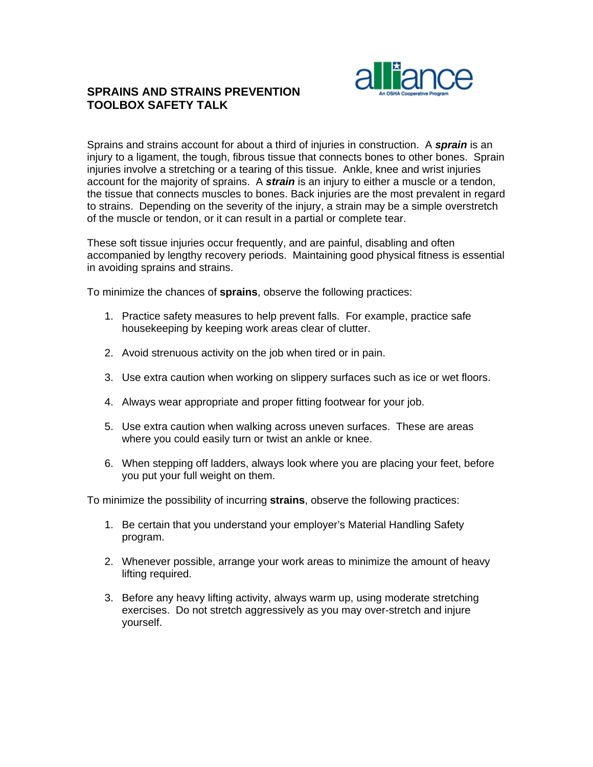

## **SPRAINS AND STRAINS PREVENTION TOOLBOX SAFETY TALK**

Sprains and strains account for about a third of injuries in construction. A *sprain* is an injury to a ligament, the tough, fibrous tissue that connects bones to other bones. Sprain injuries involve a stretching or a tearing of this tissue. Ankle, knee and wrist injuries account for the majority of sprains. A *strain* is an injury to either a muscle or a tendon, the tissue that connects muscles to bones. Back injuries are the most prevalent in regard to strains. Depending on the severity of the injury, a strain may be a simple overstretch of the muscle or tendon, or it can result in a partial or complete tear.

These soft tissue injuries occur frequently, and are painful, disabling and often accompanied by lengthy recovery periods. Maintaining good physical fitness is essential in avoiding sprains and strains.

To minimize the chances of **sprains**, observe the following practices:

- 1. Practice safety measures to help prevent falls. For example, practice safe housekeeping by keeping work areas clear of clutter.
- 2. Avoid strenuous activity on the job when tired or in pain.
- 3. Use extra caution when working on slippery surfaces such as ice or wet floors.
- 4. Always wear appropriate and proper fitting footwear for your job.
- 5. Use extra caution when walking across uneven surfaces. These are areas where you could easily turn or twist an ankle or knee.
- 6. When stepping off ladders, always look where you are placing your feet, before you put your full weight on them.

To minimize the possibility of incurring **strains**, observe the following practices:

- 1. Be certain that you understand your employer's Material Handling Safety program.
- 2. Whenever possible, arrange your work areas to minimize the amount of heavy lifting required.
- 3. Before any heavy lifting activity, always warm up, using moderate stretching exercises. Do not stretch aggressively as you may over-stretch and injure yourself.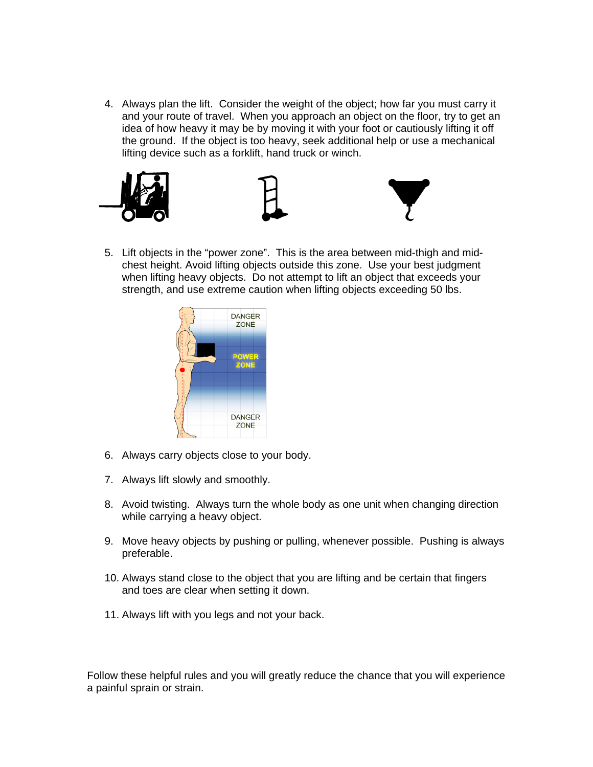4. Always plan the lift. Consider the weight of the object; how far you must carry it and your route of travel. When you approach an object on the floor, try to get an idea of how heavy it may be by moving it with your foot or cautiously lifting it off the ground. If the object is too heavy, seek additional help or use a mechanical lifting device such as a forklift, hand truck or winch.



5. Lift objects in the "power zone". This is the area between mid-thigh and midchest height. Avoid lifting objects outside this zone. Use your best judgment when lifting heavy objects. Do not attempt to lift an object that exceeds your strength, and use extreme caution when lifting objects exceeding 50 lbs.



- 6. Always carry objects close to your body.
- 7. Always lift slowly and smoothly.
- 8. Avoid twisting. Always turn the whole body as one unit when changing direction while carrying a heavy object.
- 9. Move heavy objects by pushing or pulling, whenever possible. Pushing is always preferable.
- 10. Always stand close to the object that you are lifting and be certain that fingers and toes are clear when setting it down.
- 11. Always lift with you legs and not your back.

 a painful sprain or strain. Follow these helpful rules and you will greatly reduce the chance that you will experience